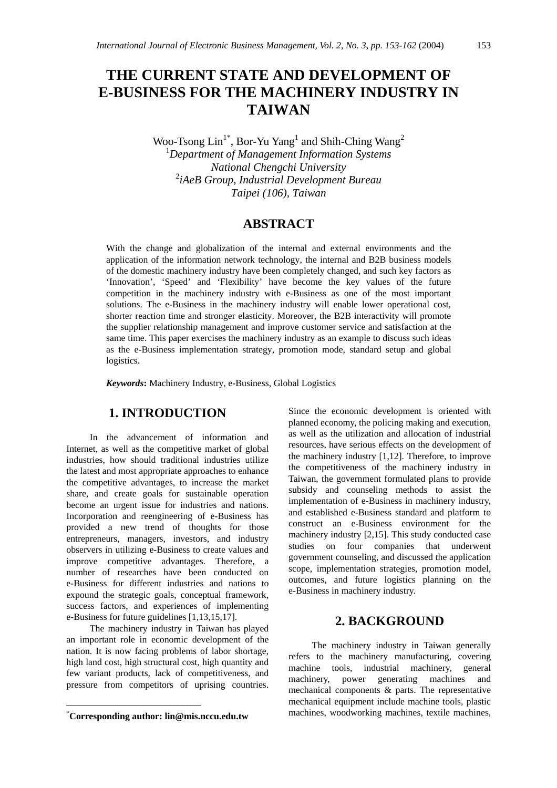# **THE CURRENT STATE AND DEVELOPMENT OF E-BUSINESS FOR THE MACHINERY INDUSTRY IN TAIWAN**

Woo-Tsong  $\text{Lin}^{1*}$ , Bor-Yu Yang<sup>1</sup> and Shih-Ching Wang<sup>2</sup> 1 *Department of Management Information Systems National Chengchi University*  2 *iAeB Group, Industrial Development Bureau Taipei (106), Taiwan* 

## **ABSTRACT**

With the change and globalization of the internal and external environments and the application of the information network technology, the internal and B2B business models of the domestic machinery industry have been completely changed, and such key factors as 'Innovation', 'Speed' and 'Flexibility' have become the key values of the future competition in the machinery industry with e-Business as one of the most important solutions. The e-Business in the machinery industry will enable lower operational cost, shorter reaction time and stronger elasticity. Moreover, the B2B interactivity will promote the supplier relationship management and improve customer service and satisfaction at the same time. This paper exercises the machinery industry as an example to discuss such ideas as the e-Business implementation strategy, promotion mode, standard setup and global logistics.

*Keywords***:** Machinery Industry, e-Business, Global Logistics

## **1. INTRODUCTION**

In the advancement of information and Internet, as well as the competitive market of global industries, how should traditional industries utilize the latest and most appropriate approaches to enhance the competitive advantages, to increase the market share, and create goals for sustainable operation become an urgent issue for industries and nations. Incorporation and reengineering of e-Business has provided a new trend of thoughts for those entrepreneurs, managers, investors, and industry observers in utilizing e-Business to create values and improve competitive advantages. Therefore, a number of researches have been conducted on e-Business for different industries and nations to expound the strategic goals, conceptual framework, success factors, and experiences of implementing e-Business for future guidelines [1,13,15,17].

The machinery industry in Taiwan has played an important role in economic development of the nation. It is now facing problems of labor shortage, high land cost, high structural cost, high quantity and few variant products, lack of competitiveness, and pressure from competitors of uprising countries.

 $\overline{a}$ 

Since the economic development is oriented with planned economy, the policing making and execution, as well as the utilization and allocation of industrial resources, have serious effects on the development of the machinery industry [1,12]. Therefore, to improve the competitiveness of the machinery industry in Taiwan, the government formulated plans to provide subsidy and counseling methods to assist the implementation of e-Business in machinery industry, and established e-Business standard and platform to construct an e-Business environment for the machinery industry [2,15]. This study conducted case studies on four companies that underwent government counseling, and discussed the application scope, implementation strategies, promotion model, outcomes, and future logistics planning on the e-Business in machinery industry.

### **2. BACKGROUND**

The machinery industry in Taiwan generally refers to the machinery manufacturing, covering machine tools, industrial machinery, general machinery, power generating machines and mechanical components & parts. The representative mechanical equipment include machine tools, plastic machines, woodworking machines, textile machines,

<sup>\*</sup> **Corresponding author: lin@mis.nccu.edu.tw**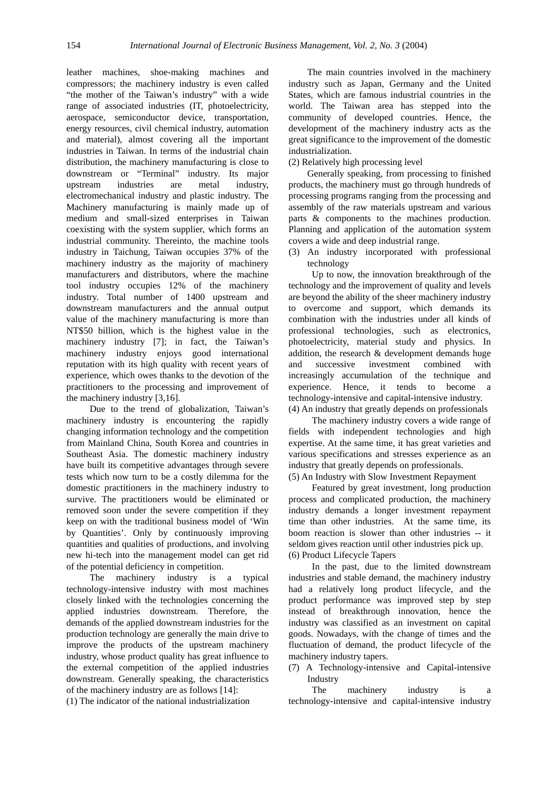leather machines, shoe-making machines and compressors; the machinery industry is even called "the mother of the Taiwan's industry" with a wide range of associated industries (IT, photoelectricity, aerospace, semiconductor device, transportation, energy resources, civil chemical industry, automation and material), almost covering all the important industries in Taiwan. In terms of the industrial chain distribution, the machinery manufacturing is close to downstream or "Terminal" industry. Its major upstream industries are metal industry, electromechanical industry and plastic industry. The Machinery manufacturing is mainly made up of medium and small-sized enterprises in Taiwan coexisting with the system supplier, which forms an industrial community. Thereinto, the machine tools industry in Taichung, Taiwan occupies 37% of the machinery industry as the majority of machinery manufacturers and distributors, where the machine tool industry occupies 12% of the machinery industry. Total number of 1400 upstream and downstream manufacturers and the annual output value of the machinery manufacturing is more than NT\$50 billion, which is the highest value in the machinery industry [7]; in fact, the Taiwan's machinery industry enjoys good international reputation with its high quality with recent years of experience, which owes thanks to the devotion of the practitioners to the processing and improvement of the machinery industry [3,16].

Due to the trend of globalization, Taiwan's machinery industry is encountering the rapidly changing information technology and the competition from Mainland China, South Korea and countries in Southeast Asia. The domestic machinery industry have built its competitive advantages through severe tests which now turn to be a costly dilemma for the domestic practitioners in the machinery industry to survive. The practitioners would be eliminated or removed soon under the severe competition if they keep on with the traditional business model of 'Win by Quantities'. Only by continuously improving quantities and qualities of productions, and involving new hi-tech into the management model can get rid of the potential deficiency in competition.

The machinery industry is a typical technology-intensive industry with most machines closely linked with the technologies concerning the applied industries downstream. Therefore, the demands of the applied downstream industries for the production technology are generally the main drive to improve the products of the upstream machinery industry, whose product quality has great influence to the external competition of the applied industries downstream. Generally speaking, the characteristics of the machinery industry are as follows [14]:

(1) The indicator of the national industrialization

The main countries involved in the machinery industry such as Japan, Germany and the United States, which are famous industrial countries in the world. The Taiwan area has stepped into the community of developed countries. Hence, the development of the machinery industry acts as the great significance to the improvement of the domestic industrialization.

(2) Relatively high processing level

Generally speaking, from processing to finished products, the machinery must go through hundreds of processing programs ranging from the processing and assembly of the raw materials upstream and various parts & components to the machines production. Planning and application of the automation system covers a wide and deep industrial range.

(3) An industry incorporated with professional technology

Up to now, the innovation breakthrough of the technology and the improvement of quality and levels are beyond the ability of the sheer machinery industry to overcome and support, which demands its combination with the industries under all kinds of professional technologies, such as electronics, photoelectricity, material study and physics. In addition, the research  $&$  development demands huge and successive investment combined with increasingly accumulation of the technique and experience. Hence, it tends to become a technology-intensive and capital-intensive industry. (4) An industry that greatly depends on professionals

The machinery industry covers a wide range of fields with independent technologies and high expertise. At the same time, it has great varieties and various specifications and stresses experience as an industry that greatly depends on professionals. (5) An Industry with Slow Investment Repayment

Featured by great investment, long production process and complicated production, the machinery industry demands a longer investment repayment time than other industries. At the same time, its boom reaction is slower than other industries -- it seldom gives reaction until other industries pick up. (6) Product Lifecycle Tapers

In the past, due to the limited downstream industries and stable demand, the machinery industry had a relatively long product lifecycle, and the product performance was improved step by step instead of breakthrough innovation, hence the industry was classified as an investment on capital goods. Nowadays, with the change of times and the fluctuation of demand, the product lifecycle of the machinery industry tapers.

(7) A Technology-intensive and Capital-intensive Industry

The machinery industry is technology-intensive and capital-intensive industry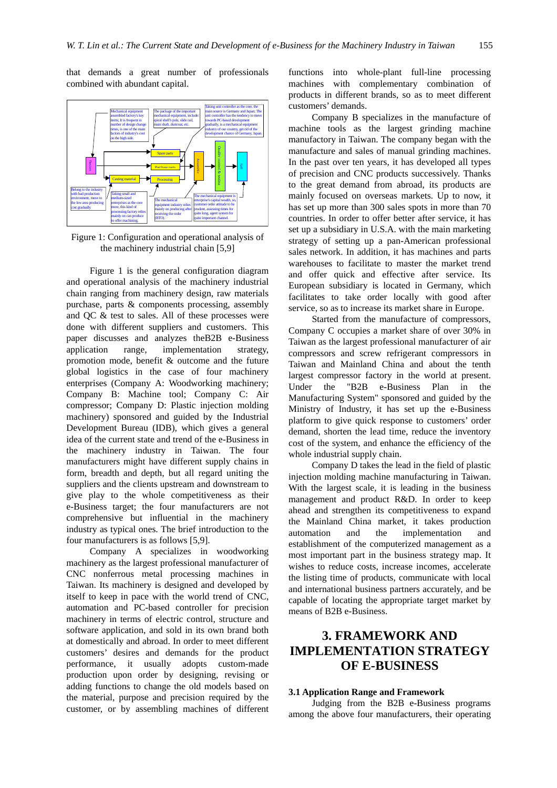that demands a great number of professionals combined with abundant capital.



Figure 1: Configuration and operational analysis of the machinery industrial chain [5,9]

Figure 1 is the general configuration diagram and operational analysis of the machinery industrial chain ranging from machinery design, raw materials purchase, parts & components processing, assembly and QC & test to sales. All of these processes were done with different suppliers and customers. This paper discusses and analyzes theB2B e-Business application range, implementation strategy, promotion mode, benefit & outcome and the future global logistics in the case of four machinery enterprises (Company A: Woodworking machinery; Company B: Machine tool; Company C: Air compressor; Company D: Plastic injection molding machinery) sponsored and guided by the Industrial Development Bureau (IDB), which gives a general idea of the current state and trend of the e-Business in the machinery industry in Taiwan. The four manufacturers might have different supply chains in form, breadth and depth, but all regard uniting the suppliers and the clients upstream and downstream to give play to the whole competitiveness as their e-Business target; the four manufacturers are not comprehensive but influential in the machinery industry as typical ones. The brief introduction to the four manufacturers is as follows [5,9].

Company A specializes in woodworking machinery as the largest professional manufacturer of CNC nonferrous metal processing machines in Taiwan. Its machinery is designed and developed by itself to keep in pace with the world trend of CNC, automation and PC-based controller for precision machinery in terms of electric control, structure and software application, and sold in its own brand both at domestically and abroad. In order to meet different customers' desires and demands for the product performance, it usually adopts custom-made production upon order by designing, revising or adding functions to change the old models based on the material, purpose and precision required by the customer, or by assembling machines of different

functions into whole-plant full-line processing machines with complementary combination of products in different brands, so as to meet different customers' demands.

Company B specializes in the manufacture of machine tools as the largest grinding machine manufactory in Taiwan. The company began with the manufacture and sales of manual grinding machines. In the past over ten years, it has developed all types of precision and CNC products successively. Thanks to the great demand from abroad, its products are mainly focused on overseas markets. Up to now, it has set up more than 300 sales spots in more than 70 countries. In order to offer better after service, it has set up a subsidiary in U.S.A. with the main marketing strategy of setting up a pan-American professional sales network. In addition, it has machines and parts warehouses to facilitate to master the market trend and offer quick and effective after service. Its European subsidiary is located in Germany, which facilitates to take order locally with good after service, so as to increase its market share in Europe.

Started from the manufacture of compressors, Company C occupies a market share of over 30% in Taiwan as the largest professional manufacturer of air compressors and screw refrigerant compressors in Taiwan and Mainland China and about the tenth largest compressor factory in the world at present. Under the "B2B e-Business Plan in the Manufacturing System" sponsored and guided by the Ministry of Industry, it has set up the e-Business platform to give quick response to customers' order demand, shorten the lead time, reduce the inventory cost of the system, and enhance the efficiency of the whole industrial supply chain.

Company D takes the lead in the field of plastic injection molding machine manufacturing in Taiwan. With the largest scale, it is leading in the business management and product R&D. In order to keep ahead and strengthen its competitiveness to expand the Mainland China market, it takes production automation and the implementation and establishment of the computerized management as a most important part in the business strategy map. It wishes to reduce costs, increase incomes, accelerate the listing time of products, communicate with local and international business partners accurately, and be capable of locating the appropriate target market by means of B2B e-Business.

## **3. FRAMEWORK AND IMPLEMENTATION STRATEGY OF E-BUSINESS**

#### **3.1 Application Range and Framework**

Judging from the B2B e-Business programs among the above four manufacturers, their operating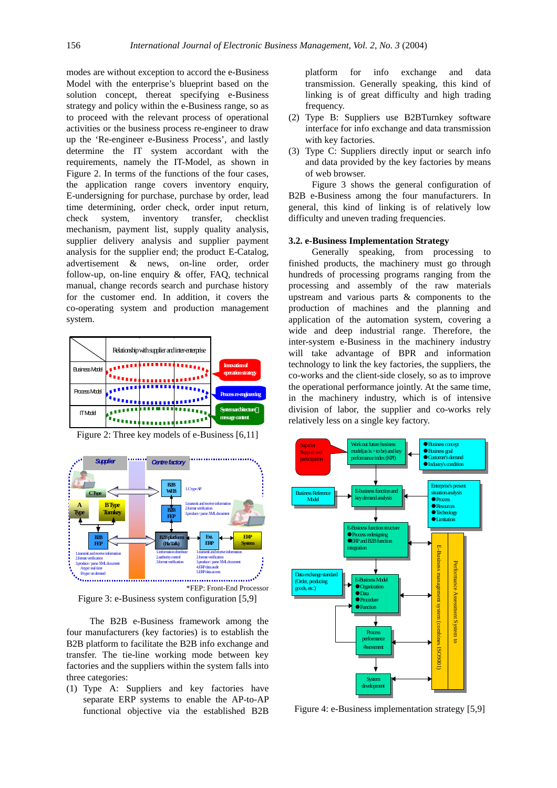modes are without exception to accord the e-Business Model with the enterprise's blueprint based on the solution concept, thereat specifying e-Business strategy and policy within the e-Business range, so as to proceed with the relevant process of operational activities or the business process re-engineer to draw up the 'Re-engineer e-Business Process', and lastly determine the IT system accordant with the requirements, namely the IT-Model, as shown in Figure 2. In terms of the functions of the four cases, the application range covers inventory enquiry, E-undersigning for purchase, purchase by order, lead time determining, order check, order input return, check system, inventory transfer, checklist mechanism, payment list, supply quality analysis, supplier delivery analysis and supplier payment analysis for the supplier end; the product E-Catalog, advertisement & news, on-line order, order follow-up, on-line enquiry & offer, FAQ, technical manual, change records search and purchase history for the customer end. In addition, it covers the co-operating system and production management system.





Figure 2: Three key models of e-Business [6,11]

Figure 3: e-Business system configuration [5,9]

The B2B e-Business framework among the four manufacturers (key factories) is to establish the B2B platform to facilitate the B2B info exchange and transfer. The tie-line working mode between key factories and the suppliers within the system falls into three categories:

(1) Type A: Suppliers and key factories have separate ERP systems to enable the AP-to-AP functional objective via the established B2B

platform for info exchange and data transmission. Generally speaking, this kind of linking is of great difficulty and high trading frequency.

- (2) Type B: Suppliers use B2BTurnkey software interface for info exchange and data transmission with key factories.
- (3) Type C: Suppliers directly input or search info and data provided by the key factories by means of web browser.

Figure 3 shows the general configuration of B2B e-Business among the four manufacturers. In general, this kind of linking is of relatively low difficulty and uneven trading frequencies.

#### **3.2. e-Business Implementation Strategy**

Generally speaking, from processing to finished products, the machinery must go through hundreds of processing programs ranging from the processing and assembly of the raw materials upstream and various parts & components to the production of machines and the planning and application of the automation system, covering a wide and deep industrial range. Therefore, the inter-system e-Business in the machinery industry will take advantage of BPR and information technology to link the key factories, the suppliers, the co-works and the client-side closely, so as to improve the operational performance jointly. At the same time, in the machinery industry, which is of intensive division of labor, the supplier and co-works rely relatively less on a single key factory.



Figure 4: e-Business implementation strategy [5,9]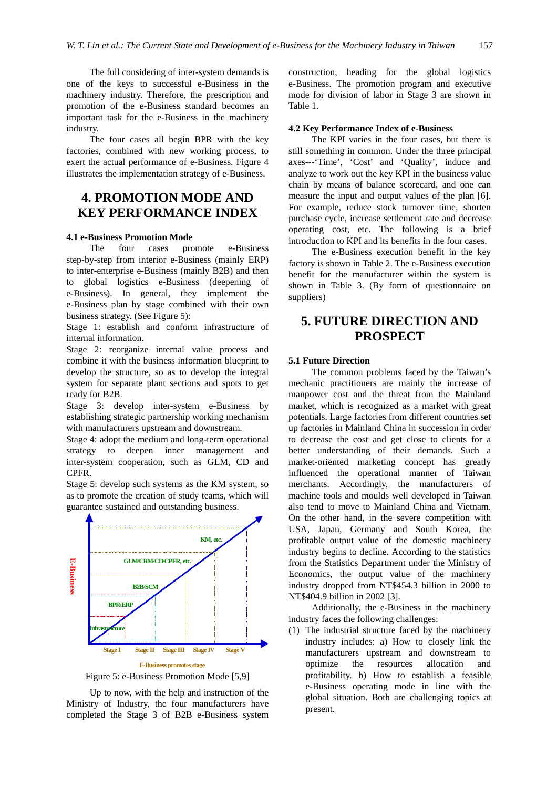The full considering of inter-system demands is one of the keys to successful e-Business in the machinery industry. Therefore, the prescription and promotion of the e-Business standard becomes an important task for the e-Business in the machinery industry.

The four cases all begin BPR with the key factories, combined with new working process, to exert the actual performance of e-Business. Figure 4 illustrates the implementation strategy of e-Business.

## **4. PROMOTION MODE AND KEY PERFORMANCE INDEX**

#### **4.1 e-Business Promotion Mode**

The four cases promote e-Business step-by-step from interior e-Business (mainly ERP) to inter-enterprise e-Business (mainly B2B) and then to global logistics e-Business (deepening of e-Business). In general, they implement the e-Business plan by stage combined with their own business strategy. (See Figure 5):

Stage 1: establish and conform infrastructure of internal information.

Stage 2: reorganize internal value process and combine it with the business information blueprint to develop the structure, so as to develop the integral system for separate plant sections and spots to get ready for B2B.

Stage 3: develop inter-system e-Business by establishing strategic partnership working mechanism with manufacturers upstream and downstream.

Stage 4: adopt the medium and long-term operational strategy to deepen inner management and inter-system cooperation, such as GLM, CD and CPFR.

Stage 5: develop such systems as the KM system, so as to promote the creation of study teams, which will guarantee sustained and outstanding business.



Figure 5: e-Business Promotion Mode [5,9]

Up to now, with the help and instruction of the Ministry of Industry, the four manufacturers have completed the Stage 3 of B2B e-Business system

construction, heading for the global logistics e-Business. The promotion program and executive mode for division of labor in Stage 3 are shown in Table 1.

#### **4.2 Key Performance Index of e-Business**

The KPI varies in the four cases, but there is still something in common. Under the three principal axes---'Time', 'Cost' and 'Quality', induce and analyze to work out the key KPI in the business value chain by means of balance scorecard, and one can measure the input and output values of the plan [6]. For example, reduce stock turnover time, shorten purchase cycle, increase settlement rate and decrease operating cost, etc. The following is a brief introduction to KPI and its benefits in the four cases.

The e-Business execution benefit in the key factory is shown in Table 2. The e-Business execution benefit for the manufacturer within the system is shown in Table 3. (By form of questionnaire on suppliers)

## **5. FUTURE DIRECTION AND PROSPECT**

#### **5.1 Future Direction**

The common problems faced by the Taiwan's mechanic practitioners are mainly the increase of manpower cost and the threat from the Mainland market, which is recognized as a market with great potentials. Large factories from different countries set up factories in Mainland China in succession in order to decrease the cost and get close to clients for a better understanding of their demands. Such a market-oriented marketing concept has greatly influenced the operational manner of Taiwan merchants. Accordingly, the manufacturers of machine tools and moulds well developed in Taiwan also tend to move to Mainland China and Vietnam. On the other hand, in the severe competition with USA, Japan, Germany and South Korea, the profitable output value of the domestic machinery industry begins to decline. According to the statistics from the Statistics Department under the Ministry of Economics, the output value of the machinery industry dropped from NT\$454.3 billion in 2000 to NT\$404.9 billion in 2002 [3].

Additionally, the e-Business in the machinery industry faces the following challenges:

(1) The industrial structure faced by the machinery industry includes: a) How to closely link the manufacturers upstream and downstream to optimize the resources allocation and profitability. b) How to establish a feasible e-Business operating mode in line with the global situation. Both are challenging topics at present.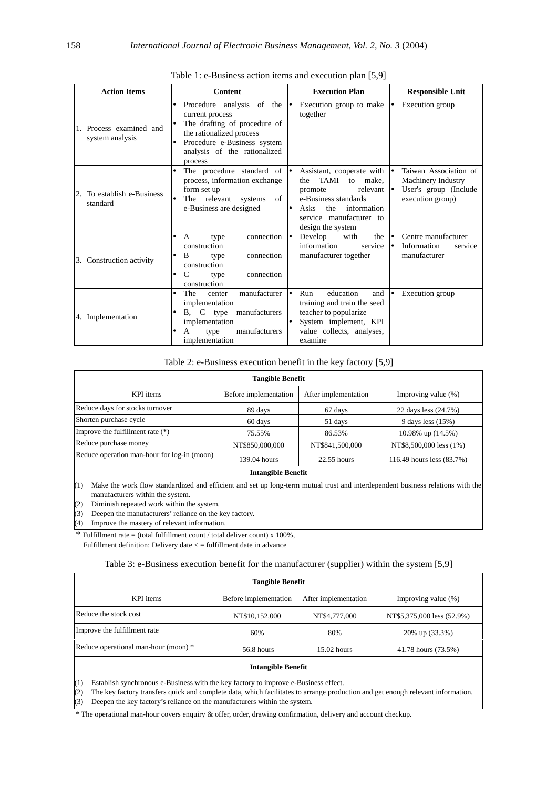| <b>Action Items</b>                                  | <b>Content</b>                                                                                                                                                                                                  | <b>Execution Plan</b>                                                                                                                                                                | <b>Responsible Unit</b>                                                                               |
|------------------------------------------------------|-----------------------------------------------------------------------------------------------------------------------------------------------------------------------------------------------------------------|--------------------------------------------------------------------------------------------------------------------------------------------------------------------------------------|-------------------------------------------------------------------------------------------------------|
| Process examined and<br>system analysis              | of the<br>Procedure analysis<br>$\bullet$<br>current process<br>The drafting of procedure of<br>the rationalized process<br>Procedure e-Business system<br>$\bullet$<br>analysis of the rationalized<br>process | Execution group to make<br>together                                                                                                                                                  | Execution group                                                                                       |
| To establish e-Business<br><sup>2.</sup><br>standard | The procedure standard of<br>$\bullet$<br>process, information exchange<br>form set up<br>The relevant systems<br>of<br>e-Business are designed                                                                 | Assistant, cooperate with<br>TAMI<br>make.<br>the<br>to<br>relevant<br>promote<br>e-Business standards<br>information<br>Asks<br>the<br>service manufacturer to<br>design the system | Taiwan Association of<br>I۰<br>Machinery Industry<br>User's group (Include)<br>١٠<br>execution group) |
| 3. Construction activity                             | connection<br>$\mathsf{A}$<br>٠<br>type<br>construction<br>B<br>connection<br>type<br>construction<br>C<br>connection<br>٠<br>type<br>construction                                                              | Develop<br>with<br>the<br>information<br>service<br>manufacturer together                                                                                                            | Centre manufacturer<br>I۰<br>Information<br>I۰<br>service<br>manufacturer                             |
| 4. Implementation                                    | manufacturer<br>The<br>center<br>٠<br>implementation<br>C<br>type<br>manufacturers<br><b>B.</b><br>implementation<br>manufacturers<br>A<br>type<br>implementation                                               | education<br>Run<br>$\bullet$<br>and<br>training and train the seed<br>teacher to popularize<br>System implement, KPI<br>value collects, analyses,<br>examine                        | Execution group                                                                                       |

Table 1: e-Business action items and execution plan [5,9]

#### Table 2: e-Business execution benefit in the key factory [5,9]

| <b>Tangible Benefit</b>                                                                                                                                                                                                       |                           |                      |                           |  |  |
|-------------------------------------------------------------------------------------------------------------------------------------------------------------------------------------------------------------------------------|---------------------------|----------------------|---------------------------|--|--|
| KPI items                                                                                                                                                                                                                     | Before implementation     | After implementation | Improving value (%)       |  |  |
| Reduce days for stocks turnover                                                                                                                                                                                               | 89 days                   | 67 days              | 22 days less (24.7%)      |  |  |
| Shorten purchase cycle                                                                                                                                                                                                        | 60 days                   | 51 days              | 9 days less (15%)         |  |  |
| Improve the fulfillment rate $(*)$                                                                                                                                                                                            | 75.55%                    | 86.53%               | 10.98% up $(14.5\%)$      |  |  |
| Reduce purchase money                                                                                                                                                                                                         | NT\$850,000,000           | NT\$841,500,000      | NT\$8,500,000 less (1%)   |  |  |
| Reduce operation man-hour for log-in (moon)                                                                                                                                                                                   | 139.04 hours              | $22.55$ hours        | 116.49 hours less (83.7%) |  |  |
|                                                                                                                                                                                                                               | <b>Intangible Benefit</b> |                      |                           |  |  |
| Make the work flow standardized and efficient and set up long-term mutual trust and interdependent business relations with the<br>(1)<br>manufacturers within the system.<br>(2)<br>Diminish repeated work within the system. |                           |                      |                           |  |  |
| (3)<br>Deepen the manufacturers' reliance on the key factory.                                                                                                                                                                 |                           |                      |                           |  |  |

(4) Improve the mastery of relevant information.

\* Fulfillment rate = (total fulfillment count / total deliver count)  $x$  100%, Fulfillment definition: Delivery date < = fulfillment date in advance

### Table 3: e-Business execution benefit for the manufacturer (supplier) within the system [5,9]

| <b>Tangible Benefit</b>              |                       |                      |                            |  |  |  |
|--------------------------------------|-----------------------|----------------------|----------------------------|--|--|--|
| KPI items                            | Before implementation | After implementation | Improving value $(\%)$     |  |  |  |
| Reduce the stock cost                | NT\$10,152,000        | NT\$4,777,000        | NT\$5,375,000 less (52.9%) |  |  |  |
| Improve the fulfillment rate         | 60%                   | 80%                  | 20% up (33.3%)             |  |  |  |
| Reduce operational man-hour (moon) * | 56.8 hours            | $15.02$ hours        | 41.78 hours (73.5%)        |  |  |  |
| <b>Intangible Benefit</b>            |                       |                      |                            |  |  |  |

(1) Establish synchronous e-Business with the key factory to improve e-Business effect.

(2) The key factory transfers quick and complete data, which facilitates to arrange production and get enough relevant information. (3) Deepen the key factory's reliance on the manufacturers within the system.

\* The operational man-hour covers enquiry & offer, order, drawing confirmation, delivery and account checkup.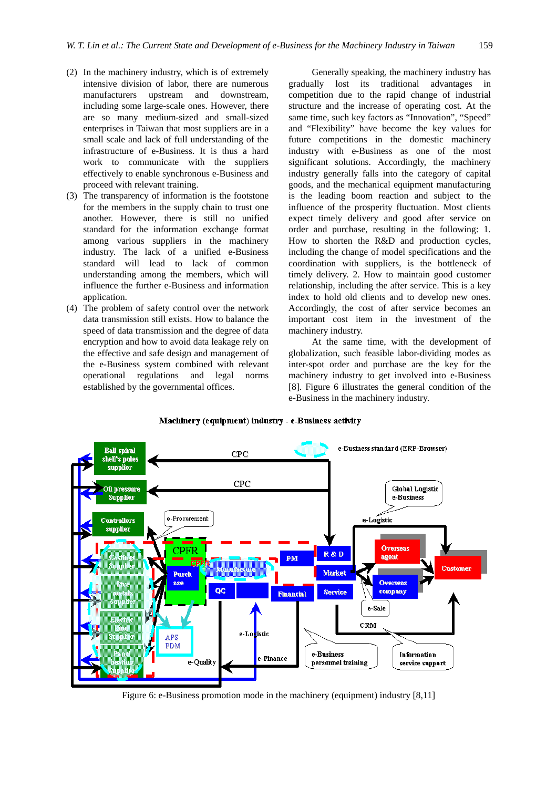- (2) In the machinery industry, which is of extremely intensive division of labor, there are numerous manufacturers upstream and downstream, including some large-scale ones. However, there are so many medium-sized and small-sized enterprises in Taiwan that most suppliers are in a small scale and lack of full understanding of the infrastructure of e-Business. It is thus a hard work to communicate with the suppliers effectively to enable synchronous e-Business and proceed with relevant training.
- (3) The transparency of information is the footstone for the members in the supply chain to trust one another. However, there is still no unified standard for the information exchange format among various suppliers in the machinery industry. The lack of a unified e-Business standard will lead to lack of common understanding among the members, which will influence the further e-Business and information application.
- (4) The problem of safety control over the network data transmission still exists. How to balance the speed of data transmission and the degree of data encryption and how to avoid data leakage rely on the effective and safe design and management of the e-Business system combined with relevant operational regulations and legal norms established by the governmental offices.

Generally speaking, the machinery industry has gradually lost its traditional advantages in competition due to the rapid change of industrial structure and the increase of operating cost. At the same time, such key factors as "Innovation", "Speed" and "Flexibility" have become the key values for future competitions in the domestic machinery industry with e-Business as one of the most significant solutions. Accordingly, the machinery industry generally falls into the category of capital goods, and the mechanical equipment manufacturing is the leading boom reaction and subject to the influence of the prosperity fluctuation. Most clients expect timely delivery and good after service on order and purchase, resulting in the following: 1. How to shorten the R&D and production cycles, including the change of model specifications and the coordination with suppliers, is the bottleneck of timely delivery. 2. How to maintain good customer relationship, including the after service. This is a key index to hold old clients and to develop new ones. Accordingly, the cost of after service becomes an important cost item in the investment of the machinery industry.

At the same time, with the development of globalization, such feasible labor-dividing modes as inter-spot order and purchase are the key for the machinery industry to get involved into e-Business [8]. Figure 6 illustrates the general condition of the e-Business in the machinery industry.



Machinery (equipment) industry - e-Business activity

Figure 6: e-Business promotion mode in the machinery (equipment) industry [8,11]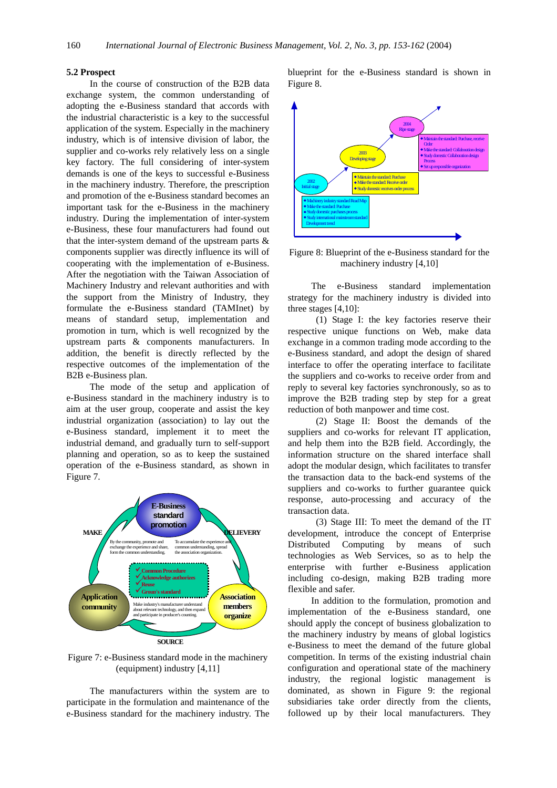#### **5.2 Prospect**

In the course of construction of the B2B data exchange system, the common understanding of adopting the e-Business standard that accords with the industrial characteristic is a key to the successful application of the system. Especially in the machinery industry, which is of intensive division of labor, the supplier and co-works rely relatively less on a single key factory. The full considering of inter-system demands is one of the keys to successful e-Business in the machinery industry. Therefore, the prescription and promotion of the e-Business standard becomes an important task for the e-Business in the machinery industry. During the implementation of inter-system e-Business, these four manufacturers had found out that the inter-system demand of the upstream parts & components supplier was directly influence its will of cooperating with the implementation of e-Business. After the negotiation with the Taiwan Association of Machinery Industry and relevant authorities and with the support from the Ministry of Industry, they formulate the e-Business standard (TAMInet) by means of standard setup, implementation and promotion in turn, which is well recognized by the upstream parts & components manufacturers. In addition, the benefit is directly reflected by the respective outcomes of the implementation of the B2B e-Business plan.

The mode of the setup and application of e-Business standard in the machinery industry is to aim at the user group, cooperate and assist the key industrial organization (association) to lay out the e-Business standard, implement it to meet the industrial demand, and gradually turn to self-support planning and operation, so as to keep the sustained operation of the e-Business standard, as shown in Figure 7.



Figure 7: e-Business standard mode in the machinery (equipment) industry [4,11]

The manufacturers within the system are to participate in the formulation and maintenance of the e-Business standard for the machinery industry. The blueprint for the e-Business standard is shown in Figure 8.



Figure 8: Blueprint of the e-Business standard for the machinery industry [4,10]

The e-Business standard implementation strategy for the machinery industry is divided into three stages [4,10]:

(1) Stage I: the key factories reserve their respective unique functions on Web, make data exchange in a common trading mode according to the e-Business standard, and adopt the design of shared interface to offer the operating interface to facilitate the suppliers and co-works to receive order from and reply to several key factories synchronously, so as to improve the B2B trading step by step for a great reduction of both manpower and time cost.

(2) Stage II: Boost the demands of the suppliers and co-works for relevant IT application, and help them into the B2B field. Accordingly, the information structure on the shared interface shall adopt the modular design, which facilitates to transfer the transaction data to the back-end systems of the suppliers and co-works to further guarantee quick response, auto-processing and accuracy of the transaction data.

(3) Stage III: To meet the demand of the IT development, introduce the concept of Enterprise Distributed Computing by means of such technologies as Web Services, so as to help the enterprise with further e-Business application including co-design, making B2B trading more flexible and safer.

In addition to the formulation, promotion and implementation of the e-Business standard, one should apply the concept of business globalization to the machinery industry by means of global logistics e-Business to meet the demand of the future global competition. In terms of the existing industrial chain configuration and operational state of the machinery industry, the regional logistic management is dominated, as shown in Figure 9: the regional subsidiaries take order directly from the clients, followed up by their local manufacturers. They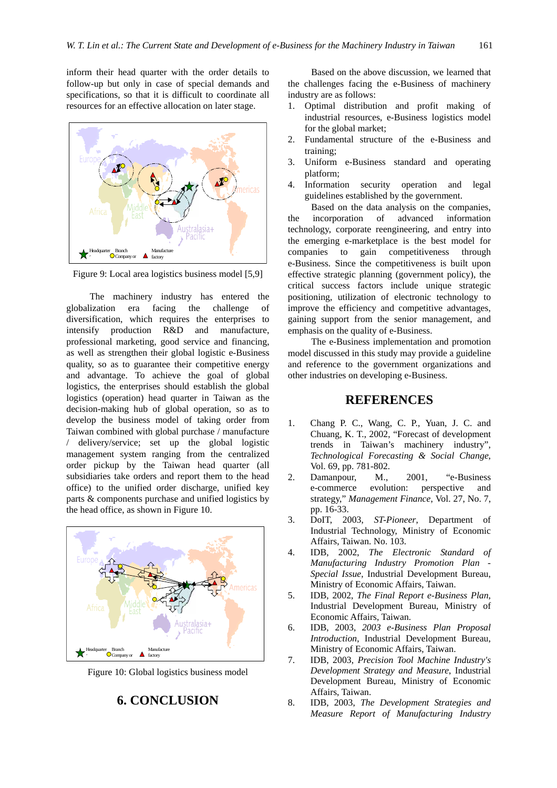inform their head quarter with the order details to follow-up but only in case of special demands and specifications, so that it is difficult to coordinate all resources for an effective allocation on later stage.



Figure 9: Local area logistics business model [5,9]

The machinery industry has entered the globalization era facing the challenge of diversification, which requires the enterprises to intensify production R&D and manufacture, professional marketing, good service and financing, as well as strengthen their global logistic e-Business quality, so as to guarantee their competitive energy and advantage. To achieve the goal of global logistics, the enterprises should establish the global logistics (operation) head quarter in Taiwan as the decision-making hub of global operation, so as to develop the business model of taking order from Taiwan combined with global purchase / manufacture / delivery/service; set up the global logistic management system ranging from the centralized order pickup by the Taiwan head quarter (all subsidiaries take orders and report them to the head office) to the unified order discharge, unified key parts & components purchase and unified logistics by the head office, as shown in Figure 10.



Figure 10: Global logistics business model

## **6. CONCLUSION**

Based on the above discussion, we learned that the challenges facing the e-Business of machinery industry are as follows:

- 1. Optimal distribution and profit making of industrial resources, e-Business logistics model for the global market;
- 2. Fundamental structure of the e-Business and training;
- 3. Uniform e-Business standard and operating platform;
- 4. Information security operation and legal guidelines established by the government.

Based on the data analysis on the companies, the incorporation of advanced information technology, corporate reengineering, and entry into the emerging e-marketplace is the best model for companies to gain competitiveness through e-Business. Since the competitiveness is built upon effective strategic planning (government policy), the critical success factors include unique strategic positioning, utilization of electronic technology to improve the efficiency and competitive advantages, gaining support from the senior management, and emphasis on the quality of e-Business.

The e-Business implementation and promotion model discussed in this study may provide a guideline and reference to the government organizations and other industries on developing e-Business.

### **REFERENCES**

- 1. Chang P. C., Wang, C. P., Yuan, J. C. and Chuang, K. T., 2002, "Forecast of development trends in Taiwan's machinery industry", *Technological Forecasting & Social Change*, Vol. 69, pp. 781-802.
- 2. Damanpour, M., 2001, "e-Business e-commerce evolution: perspective and strategy," *Management Finance*, Vol. 27, No. 7, pp. 16-33.
- 3. DoIT, 2003, *ST-Pioneer*, Department of Industrial Technology, Ministry of Economic Affairs, Taiwan. No. 103.
- 4. IDB, 2002, *The Electronic Standard of Manufacturing Industry Promotion Plan - Special Issue*, Industrial Development Bureau, Ministry of Economic Affairs, Taiwan.
- 5. IDB, 2002, *The Final Report e-Business Plan*, Industrial Development Bureau, Ministry of Economic Affairs, Taiwan.
- 6. IDB, 2003, *2003 e-Business Plan Proposal Introduction*, Industrial Development Bureau, Ministry of Economic Affairs, Taiwan.
- 7. IDB, 2003, *Precision Tool Machine Industry's Development Strategy and Measure*, Industrial Development Bureau, Ministry of Economic Affairs, Taiwan.
- 8. IDB, 2003, *The Development Strategies and Measure Report of Manufacturing Industry*